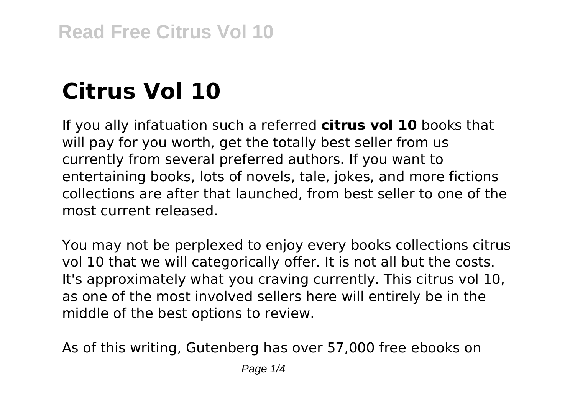# **Citrus Vol 10**

If you ally infatuation such a referred **citrus vol 10** books that will pay for you worth, get the totally best seller from us currently from several preferred authors. If you want to entertaining books, lots of novels, tale, jokes, and more fictions collections are after that launched, from best seller to one of the most current released.

You may not be perplexed to enjoy every books collections citrus vol 10 that we will categorically offer. It is not all but the costs. It's approximately what you craving currently. This citrus vol 10, as one of the most involved sellers here will entirely be in the middle of the best options to review.

As of this writing, Gutenberg has over 57,000 free ebooks on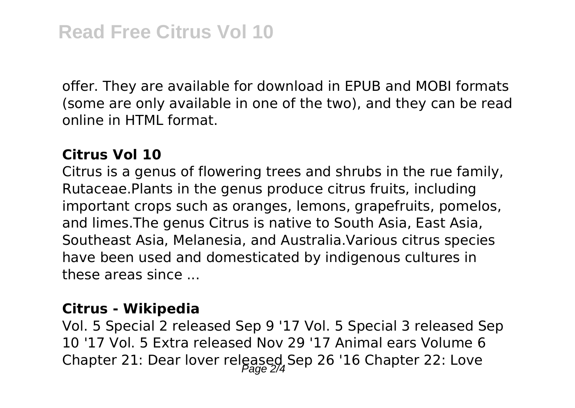offer. They are available for download in EPUB and MOBI formats (some are only available in one of the two), and they can be read online in HTML format.

## **Citrus Vol 10**

Citrus is a genus of flowering trees and shrubs in the rue family, Rutaceae.Plants in the genus produce citrus fruits, including important crops such as oranges, lemons, grapefruits, pomelos, and limes.The genus Citrus is native to South Asia, East Asia, Southeast Asia, Melanesia, and Australia.Various citrus species have been used and domesticated by indigenous cultures in these areas since ...

# **Citrus - Wikipedia**

Vol. 5 Special 2 released Sep 9 '17 Vol. 5 Special 3 released Sep 10 '17 Vol. 5 Extra released Nov 29 '17 Animal ears Volume 6 Chapter 21: Dear lover released Sep 26 '16 Chapter 22: Love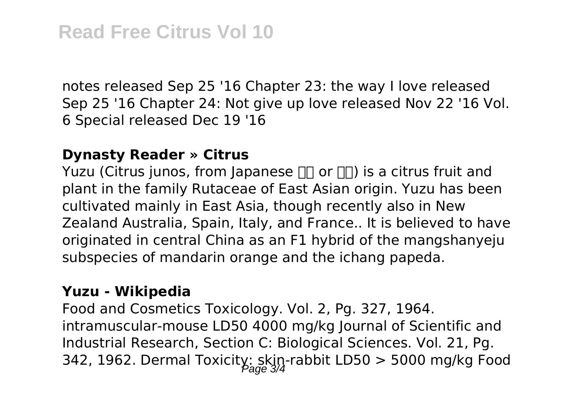notes released Sep 25 '16 Chapter 23: the way I love released Sep 25 '16 Chapter 24: Not give up love released Nov 22 '16 Vol. 6 Special released Dec 19 '16

#### **Dynasty Reader » Citrus**

Yuzu (Citrus junos, from Japanese  $\Pi$  or  $\Pi$ ) is a citrus fruit and plant in the family Rutaceae of East Asian origin. Yuzu has been cultivated mainly in East Asia, though recently also in New Zealand Australia, Spain, Italy, and France.. It is believed to have originated in central China as an F1 hybrid of the mangshanyeju subspecies of mandarin orange and the ichang papeda.

### **Yuzu - Wikipedia**

Food and Cosmetics Toxicology. Vol. 2, Pg. 327, 1964. intramuscular-mouse LD50 4000 mg/kg Journal of Scientific and Industrial Research, Section C: Biological Sciences. Vol. 21, Pg. 342, 1962. Dermal Toxicity: skin-rabbit LD50 > 5000 mg/kg Food